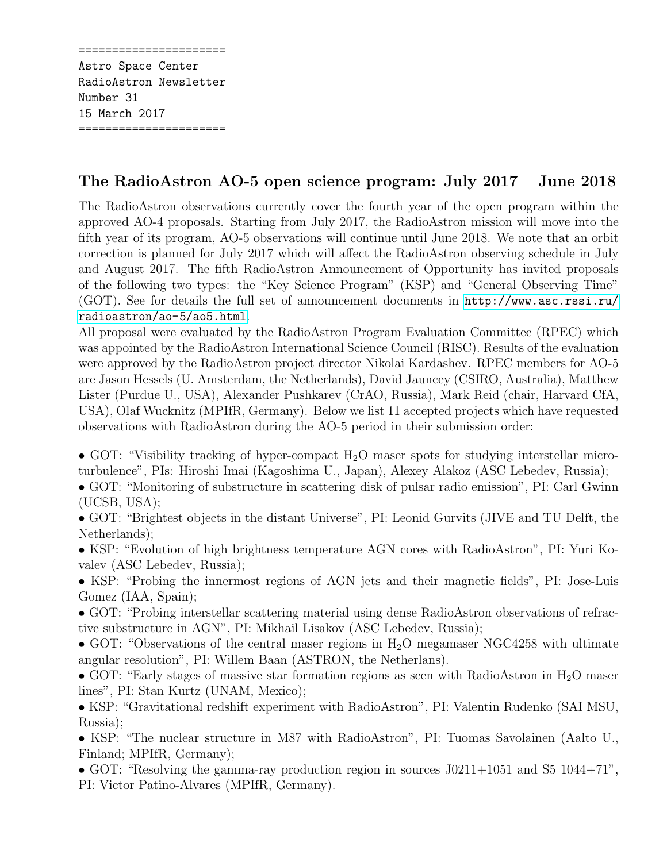====================== Astro Space Center RadioAstron Newsletter Number 31 15 March 2017 ======================

## The RadioAstron AO-5 open science program: July 2017 – June 2018

The RadioAstron observations currently cover the fourth year of the open program within the approved AO-4 proposals. Starting from July 2017, the RadioAstron mission will move into the fifth year of its program, AO-5 observations will continue until June 2018. We note that an orbit correction is planned for July 2017 which will affect the RadioAstron observing schedule in July and August 2017. The fifth RadioAstron Announcement of Opportunity has invited proposals of the following two types: the "Key Science Program" (KSP) and "General Observing Time" (GOT). See for details the full set of announcement documents in [http://www.asc.rssi.ru/](http://www.asc.rssi.ru/radioastron/ao-5/ao5.html) [radioastron/ao-5/ao5.html](http://www.asc.rssi.ru/radioastron/ao-5/ao5.html).

All proposal were evaluated by the RadioAstron Program Evaluation Committee (RPEC) which was appointed by the RadioAstron International Science Council (RISC). Results of the evaluation were approved by the RadioAstron project director Nikolai Kardashev. RPEC members for AO-5 are Jason Hessels (U. Amsterdam, the Netherlands), David Jauncey (CSIRO, Australia), Matthew Lister (Purdue U., USA), Alexander Pushkarev (CrAO, Russia), Mark Reid (chair, Harvard CfA, USA), Olaf Wucknitz (MPIfR, Germany). Below we list 11 accepted projects which have requested observations with RadioAstron during the AO-5 period in their submission order:

- GOT: "Visibility tracking of hyper-compact  $H_2O$  maser spots for studying interstellar microturbulence", PIs: Hiroshi Imai (Kagoshima U., Japan), Alexey Alakoz (ASC Lebedev, Russia);
- GOT: "Monitoring of substructure in scattering disk of pulsar radio emission", PI: Carl Gwinn (UCSB, USA);
- GOT: "Brightest objects in the distant Universe", PI: Leonid Gurvits (JIVE and TU Delft, the Netherlands);
- KSP: "Evolution of high brightness temperature AGN cores with RadioAstron", PI: Yuri Kovalev (ASC Lebedev, Russia);
- KSP: "Probing the innermost regions of AGN jets and their magnetic fields", PI: Jose-Luis Gomez (IAA, Spain);
- GOT: "Probing interstellar scattering material using dense RadioAstron observations of refractive substructure in AGN", PI: Mikhail Lisakov (ASC Lebedev, Russia);
- GOT: "Observations of the central maser regions in  $H_2O$  megamaser NGC4258 with ultimate angular resolution", PI: Willem Baan (ASTRON, the Netherlans).
- GOT: "Early stages of massive star formation regions as seen with RadioAstron in  $H_2O$  maser lines", PI: Stan Kurtz (UNAM, Mexico);
- KSP: "Gravitational redshift experiment with RadioAstron", PI: Valentin Rudenko (SAI MSU, Russia);
- KSP: "The nuclear structure in M87 with RadioAstron", PI: Tuomas Savolainen (Aalto U., Finland; MPIfR, Germany);
- GOT: "Resolving the gamma-ray production region in sources J0211+1051 and S5 1044+71", PI: Victor Patino-Alvares (MPIfR, Germany).